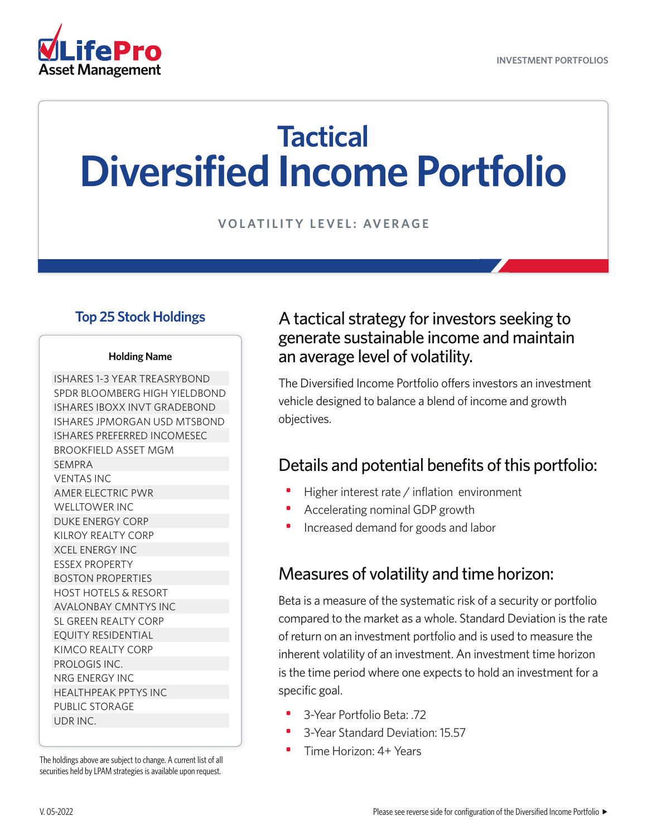

# **Tactical Diversified Income Portfolio**

**VOLATILITY LEVEL: AVERAGE**

#### **Top 25 Stock Holdings**

#### **Holding Name**

ISHARES 1-3 YEAR TREASRYBOND SPDR BLOOMBERG HIGH YIELDBOND ISHARES IBOXX INVT GRADEBOND ISHARES JPMORGAN USD MTSBOND ISHARES PREFERRED INCOMESEC BROOKFIELD ASSET MGM SEMPRA VENTAS INC AMER ELECTRIC PWR WELLTOWER INC DUKE ENERGY CORP KILROY REALTY CORP XCEL ENERGY INC ESSEX PROPERTY BOSTON PROPERTIES HOST HOTELS & RESORT AVALONBAY CMNTYS INC SL GREEN REALTY CORP EQUITY RESIDENTIAL KIMCO REALTY CORP PROLOGIS INC. NRG ENERGY INC HEALTHPEAK PPTYS INC PUBLIC STORAGE UDR INC.

The holdings above are subject to change. A current list of all securities held by LPAM strategies is available upon request.

#### A tactical strategy for investors seeking to generate sustainable income and maintain an average level of volatility.

The Diversified Income Portfolio offers investors an investment vehicle designed to balance a blend of income and growth objectives.

### Details and potential benefits of this portfolio:

- Higher interest rate / inflation environment
- Accelerating nominal GDP growth
- Increased demand for goods and labor

#### Measures of volatility and time horizon:

Beta is a measure of the systematic risk of a security or portfolio compared to the market as a whole. Standard Deviation is the rate of return on an investment portfolio and is used to measure the inherent volatility of an investment. An investment time horizon is the time period where one expects to hold an investment for a specific goal.

- 3-Year Portfolio Beta: .72
- 3-Year Standard Deviation: 15.57
- Time Horizon: 4+ Years